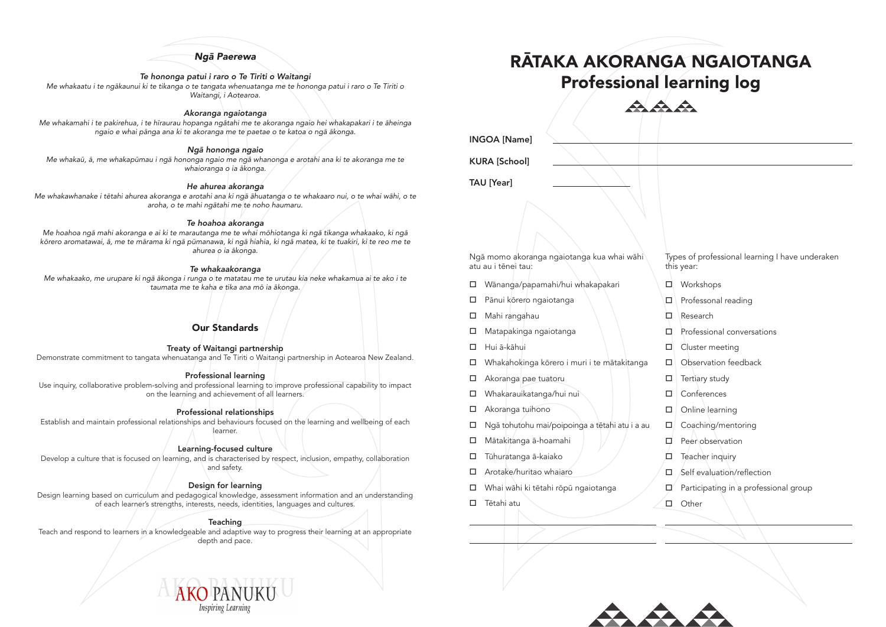# Ngā Paerewa

## *Te hononga patui i raro o Te Tiriti o Waitangi*

Me whakaatu i te ngākaunui ki te tikanga o te tangata whenuatanga me te hononga patui i raro o Te Tiriti o Waitangi, i Aotearoa.

# *Akoranga ngaiotanga*

Me whakamahi i te pakirehua, i te hīraurau hopanga ngātahi me te akoranga ngaio hei whakapakari i te āheinga ngaio e whai pānga ana ki te akoranga me te paetae o te katoa o ngā ākonga.

# Ngā hononga ngaio

Me whakaū, ā, me whakapūmau i ngā hononga ngaio me ngā whanonga e arotahi ana ki te akoranga me te whaioranga o ia ākonga.

# *He ahurea akoranga*

Me whakawhanake i tētahi ahurea akoranga e arotahi ana ki ngā āhuatanga o te whakaaro nui, o te whai wāhi, o te aroha, o te mahi ngātahi me te noho haumaru.

Treaty of Waitangi partnership Demonstrate commitment to tangata whenuatanga and Te Tiriti o Waitangi partnership in Aotearoa New Zealand.

# *Te hoahoa akoranga*

Me hoahoa ngā mahi akoranga e ai ki te marautanga me te whai mōhiotanga ki ngā tikanga whakaako, ki ngā kōrero aromatawai, ā, me te mārama ki ngā pūmanawa, ki ngā hiahia, ki ngā matea, ki te tuakiri, ki te reo me te ahurea o ia ākonga.

Develop a culture that is focused on learning, and is characterised by respect, inclusion, empathy, collaboration and safety.

### *Te whakaakoranga*

Me whakaako, me urupare ki ngā ākonga i runga o te matatau me te urutau kia neke whakamua ai te ako i te taumata me te kaha e tika ana mō ia ākonga.

- o Wānanga/papamahi/hui whakapakari
- $\square$  Pānui kōrero ngaiotanga
- $\Box$  Mahi rangahau
- $\square$  Matapakinga ngaiotanga
- $\Box$  Hui ā-kāhui
- $\Box$  Whakahokinga kōrero i muri i te mātakitanga
- $\Box$  Akoranga pae tuatoru
- □ Whakarauikatanga/hui nui
- $\Box$  Akoranga tuihono
- $\Box$  Ngā tohutohu mai/poipoinga a tētahi atu i a au
- o Mātakitanga ā-hoamahi
- $\square$  Tūhuratanga ā-kaiako
- $\Box$  Arotake/huritao whaiaro
- □ Whai wāhi ki tētahi rōpū ngaiotanga
- $\square$  Tētahi atu



# Our Standards

# Professional learning

Use inquiry, collaborative problem-solving and professional learning to improve professional capability to impact on the learning and achievement of all learners.

# Professional relationships

Establish and maintain professional relationships and behaviours focused on the learning and wellbeing of each learner.

# Learning-focused culture

# Design for learning

Design learning based on curriculum and pedagogical knowledge, assessment information and an understanding of each learner's strengths, interests, needs, identities, languages and cultures.

#### **Teaching**

Teach and respond to learners in a knowledgeable and adaptive way to progress their learning at an appropriate depth and pace.

> AKO PANUK **Inspiring Learnin**

Ngā momo akoranga ngaiotanga kua whai wāhi atu au i tēnei tau:

Types of professional learning I have underaken this year:

- $\Box$  Workshops
- $\Box$  Professonal reading
- $\Box$  Research
- $\Box$  Professional conversations
- $\Box$  Cluster meeting
- $\Box$  Observation feedback
- $\Box$  Tertiary study
- $\Box$  Conferences
- $\Box$  Online learning
- $\square$  Coaching/mentoring
- $\Box$  Peer observation
- $\Box$  Teacher inquiry
- $\Box$  Self evaluation/reflection
- $\Box'$  Participating in a professional group
- $\square$  Other

INGOA [Name]

KURA [School]

TAU [Year]

# RĀTAKA AKORANGA NGAIOTANGA